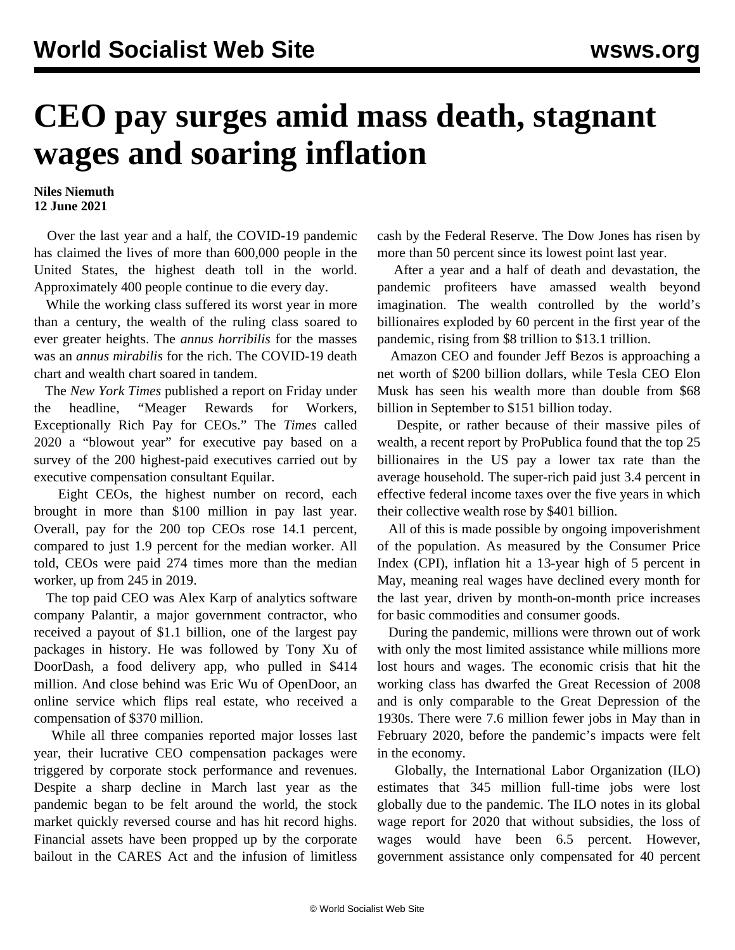## **CEO pay surges amid mass death, stagnant wages and soaring inflation**

## **Niles Niemuth 12 June 2021**

 Over the last year and a half, the COVID-19 pandemic has claimed the lives of more than 600,000 people in the United States, the highest death toll in the world. Approximately 400 people continue to die every day.

 While the working class suffered its worst year in more than a century, the wealth of the ruling class soared to ever greater heights. The *annus horribilis* for the masses was an *annus mirabilis* for the rich. The COVID-19 death chart and wealth chart soared in tandem.

 The *New York Times* published a report on Friday under the headline, "Meager Rewards for Workers, Exceptionally Rich Pay for CEOs." The *Times* called 2020 a "blowout year" for executive pay based on a survey of the 200 highest-paid executives carried out by executive compensation consultant Equilar.

 Eight CEOs, the highest number on record, each brought in more than \$100 million in pay last year. Overall, pay for the 200 top CEOs rose 14.1 percent, compared to just 1.9 percent for the median worker. All told, CEOs were paid 274 times more than the median worker, up from 245 in 2019.

 The top paid CEO was Alex Karp of analytics software company Palantir, a major government contractor, who received a payout of \$1.1 billion, one of the largest pay packages in history. He was followed by Tony Xu of DoorDash, a food delivery app, who pulled in \$414 million. And close behind was Eric Wu of OpenDoor, an online service which flips real estate, who received a compensation of \$370 million.

 While all three companies reported major losses last year, their lucrative CEO compensation packages were triggered by corporate stock performance and revenues. Despite a sharp decline in March last year as the pandemic began to be felt around the world, the stock market quickly reversed course and has hit record highs. Financial assets have been propped up by the corporate bailout in the CARES Act and the infusion of limitless

cash by the Federal Reserve. The Dow Jones has risen by more than 50 percent since its lowest point last year.

 After a year and a half of death and devastation, the pandemic profiteers have amassed wealth beyond imagination. The wealth controlled by the world's billionaires exploded by 60 percent in the first year of the pandemic, rising from \$8 trillion to \$13.1 trillion.

 Amazon CEO and founder Jeff Bezos is approaching a net worth of \$200 billion dollars, while Tesla CEO Elon Musk has seen his wealth more than double from \$68 billion in September to \$151 billion today.

 Despite, or rather because of their massive piles of wealth, a recent [report](/en/articles/2021/06/10/rich-j10.html) by ProPublica found that the top 25 billionaires in the US pay a lower tax rate than the average household. The super-rich paid just 3.4 percent in effective federal income taxes over the five years in which their collective wealth rose by \$401 billion.

 All of this is made possible by ongoing impoverishment of the population. As measured by the Consumer Price Index (CPI), inflation hit a 13-year high of 5 percent in May, meaning real wages have declined every month for the last year, driven by month-on-month price increases for basic commodities and consumer goods.

 During the pandemic, millions were thrown out of work with only the most limited assistance while millions more lost hours and wages. The economic crisis that hit the working class has dwarfed the Great Recession of 2008 and is only comparable to the Great Depression of the 1930s. There were 7.6 million fewer jobs in May than in February 2020, before the pandemic's impacts were felt in the economy.

 Globally, the International Labor Organization (ILO) estimates that 345 million full-time jobs were lost globally due to the pandemic. The ILO notes in its global wage report for 2020 that without subsidies, the loss of wages would have been 6.5 percent. However, government assistance only compensated for 40 percent